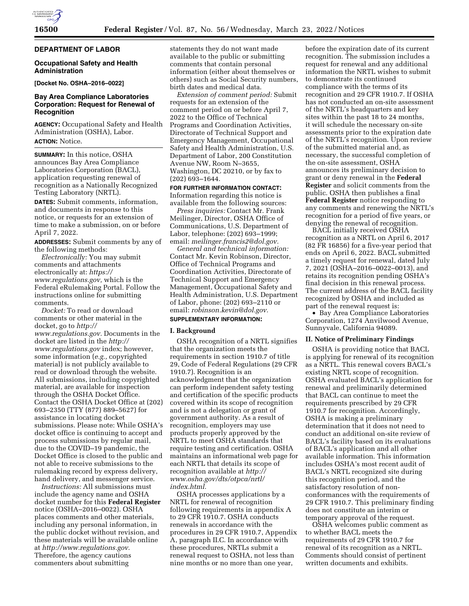### **DEPARTMENT OF LABOR**

### **Occupational Safety and Health Administration**

**[Docket No. OSHA–2016–0022]** 

## **Bay Area Compliance Laboratories Corporation: Request for Renewal of Recognition**

**AGENCY:** Occupational Safety and Health Administration (OSHA), Labor. **ACTION:** Notice.

**SUMMARY:** In this notice, OSHA announces Bay Area Compliance Laboratories Corporation (BACL), application requesting renewal of recognition as a Nationally Recognized Testing Laboratory (NRTL).

**DATES:** Submit comments, information, and documents in response to this notice, or requests for an extension of time to make a submission, on or before April 7, 2022.

**ADDRESSES:** Submit comments by any of the following methods:

*Electronically:* You may submit comments and attachments electronically at: *[https://](https://www.regulations.gov) [www.regulations.gov,](https://www.regulations.gov)* which is the Federal eRulemaking Portal. Follow the instructions online for submitting comments.

*Docket:* To read or download comments or other material in the docket, go to *[http://](http://www.regulations.gov) [www.regulations.gov.](http://www.regulations.gov)* Documents in the docket are listed in the *[http://](http://www.regulations.gov) [www.regulations.gov](http://www.regulations.gov)* index; however, some information (*e.g.,* copyrighted material) is not publicly available to read or download through the website. All submissions, including copyrighted material, are available for inspection through the OSHA Docket Office. Contact the OSHA Docket Office at (202) 693–2350 (TTY (877) 889–5627) for assistance in locating docket submissions. Please note: While OSHA's docket office is continuing to accept and process submissions by regular mail, due to the COVID–19 pandemic, the Docket Office is closed to the public and not able to receive submissions to the rulemaking record by express delivery, hand delivery, and messenger service.

*Instructions:* All submissions must include the agency name and OSHA docket number for this **Federal Register**  notice (OSHA–2016–0022). OSHA places comments and other materials, including any personal information, in the public docket without revision, and these materials will be available online at *[http://www.regulations.gov.](http://www.regulations.gov)*  Therefore, the agency cautions commenters about submitting

statements they do not want made available to the public or submitting comments that contain personal information (either about themselves or others) such as Social Security numbers, birth dates and medical data.

*Extension of comment period:* Submit requests for an extension of the comment period on or before April 7, 2022 to the Office of Technical Programs and Coordination Activities, Directorate of Technical Support and Emergency Management, Occupational Safety and Health Administration, U.S. Department of Labor, 200 Constitution Avenue NW, Room N–3655, Washington, DC 20210, or by fax to (202) 693–1644.

### **FOR FURTHER INFORMATION CONTACT:**

Information regarding this notice is available from the following sources:

*Press inquiries:* Contact Mr. Frank Meilinger, Director, OSHA Office of Communications, U.S. Department of Labor, telephone: (202) 693–1999; email: *[meilinger.francis2@dol.gov.](mailto:meilinger.francis2@dol.gov)* 

*General and technical information:*  Contact Mr. Kevin Robinson, Director, Office of Technical Programs and Coordination Activities, Directorate of Technical Support and Emergency Management, Occupational Safety and Health Administration, U.S. Department of Labor, phone: (202) 693–2110 or email: *[robinson.kevin@dol.gov.](mailto:robinson.kevin@dol.gov)* 

# **SUPPLEMENTARY INFORMATION:**

### **I. Background**

OSHA recognition of a NRTL signifies that the organization meets the requirements in section 1910.7 of title 29, Code of Federal Regulations (29 CFR 1910.7). Recognition is an acknowledgment that the organization can perform independent safety testing and certification of the specific products covered within its scope of recognition and is not a delegation or grant of government authority. As a result of recognition, employers may use products properly approved by the NRTL to meet OSHA standards that require testing and certification. OSHA maintains an informational web page for each NRTL that details its scope of recognition available at *[http://](http://www.osha.gov/dts/otpca/nrtl/index.html) [www.osha.gov/dts/otpca/nrtl/](http://www.osha.gov/dts/otpca/nrtl/index.html)  [index.html.](http://www.osha.gov/dts/otpca/nrtl/index.html)* 

OSHA processes applications by a NRTL for renewal of recognition following requirements in appendix A to 29 CFR 1910.7. OSHA conducts renewals in accordance with the procedures in 29 CFR 1910.7, Appendix A, paragraph II.C. In accordance with these procedures, NRTLs submit a renewal request to OSHA, not less than nine months or no more than one year,

before the expiration date of its current recognition. The submission includes a request for renewal and any additional information the NRTL wishes to submit to demonstrate its continued compliance with the terms of its recognition and 29 CFR 1910.7. If OSHA has not conducted an on-site assessment of the NRTL's headquarters and key sites within the past 18 to 24 months, it will schedule the necessary on-site assessments prior to the expiration date of the NRTL's recognition. Upon review of the submitted material and, as necessary, the successful completion of the on-site assessment, OSHA announces its preliminary decision to grant or deny renewal in the **Federal Register** and solicit comments from the public. OSHA then publishes a final **Federal Register** notice responding to any comments and renewing the NRTL's recognition for a period of five years, or denying the renewal of recognition.

BACL initially received OSHA recognition as a NRTL on April 6, 2017 (82 FR 16856) for a five-year period that ends on April 6, 2022. BACL submitted a timely request for renewal, dated July 7, 2021 (OSHA–2016–0022–0013), and retains its recognition pending OSHA's final decision in this renewal process. The current address of the BACL facility recognized by OSHA and included as part of the renewal request is:

• Bay Area Compliance Laboratories Corporation, 1274 Anvilwood Avenue, Sunnyvale, California 94089.

#### **II. Notice of Preliminary Findings**

OSHA is providing notice that BACL is applying for renewal of its recognition as a NRTL. This renewal covers BACL's existing NRTL scope of recognition. OSHA evaluated BACL's application for renewal and preliminarily determined that BACL can continue to meet the requirements prescribed by 29 CFR 1910.7 for recognition. Accordingly, OSHA is making a preliminary determination that it does not need to conduct an additional on-site review of BACL's facility based on its evaluations of BACL's application and all other available information. This information includes OSHA's most recent audit of BACL's NRTL recognized site during this recognition period, and the satisfactory resolution of nonconformances with the requirements of 29 CFR 1910.7. This preliminary finding does not constitute an interim or temporary approval of the request.

OSHA welcomes public comment as to whether BACL meets the requirements of 29 CFR 1910.7 for renewal of its recognition as a NRTL. Comments should consist of pertinent written documents and exhibits.